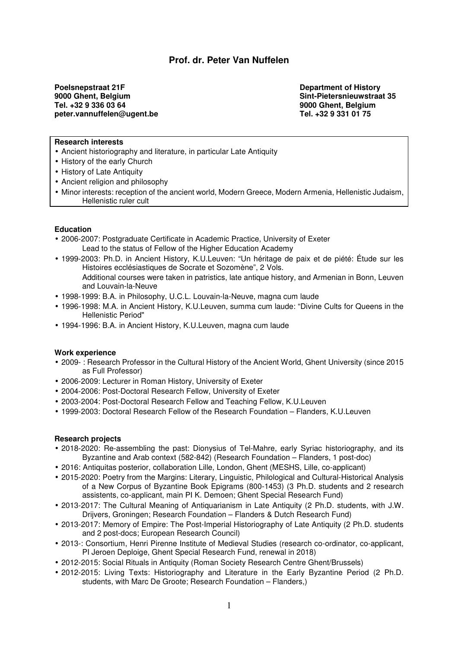# **Prof. dr. Peter Van Nuffelen**

**Poelsnepstraat 21F** Department of History **Department of History 9000 Ghent, Belgium Sint-Pietersnieuwstraat 35**<br>
Tel. +32 9 336 03 64<br>
Sint-Pietersnieuwstraat 35 peter.vannuffelen@ugent.be

**9000 Ghent, Belgium Tel. +32 9 331 01 75** 

# **Research interests**

- Ancient historiography and literature, in particular Late Antiquity
- History of the early Church
- History of Late Antiquity
- Ancient religion and philosophy
- Minor interests: reception of the ancient world, Modern Greece, Modern Armenia, Hellenistic Judaism, Hellenistic ruler cult

#### **Education**

- 2006-2007: Postgraduate Certificate in Academic Practice, University of Exeter Lead to the status of Fellow of the Higher Education Academy
- 1999-2003: Ph.D. in Ancient History, K.U.Leuven: "Un héritage de paix et de piété: Étude sur les Histoires ecclésiastiques de Socrate et Sozomène", 2 Vols. Additional courses were taken in patristics, late antique history, and Armenian in Bonn, Leuven and Louvain-la-Neuve
- 1998-1999: B.A. in Philosophy, U.C.L. Louvain-la-Neuve, magna cum laude
- 1996-1998: M.A. in Ancient History, K.U.Leuven, summa cum laude: "Divine Cults for Queens in the Hellenistic Period"
- 1994-1996: B.A. in Ancient History, K.U.Leuven, magna cum laude

#### **Work experience**

- 2009- : Research Professor in the Cultural History of the Ancient World, Ghent University (since 2015 as Full Professor)
- 2006-2009: Lecturer in Roman History, University of Exeter
- 2004-2006: Post-Doctoral Research Fellow, University of Exeter
- 2003-2004: Post-Doctoral Research Fellow and Teaching Fellow, K.U.Leuven
- 1999-2003: Doctoral Research Fellow of the Research Foundation Flanders, K.U.Leuven

### **Research projects**

- 2018-2020: Re-assembling the past: Dionysius of Tel-Mahre, early Syriac historiography, and its Byzantine and Arab context (582-842) (Research Foundation – Flanders, 1 post-doc)
- 2016: Antiquitas posterior, collaboration Lille, London, Ghent (MESHS, Lille, co-applicant)
- 2015-2020: Poetry from the Margins: Literary, Linguistic, Philological and Cultural-Historical Analysis of a New Corpus of Byzantine Book Epigrams (800-1453) (3 Ph.D. students and 2 research assistents, co-applicant, main PI K. Demoen; Ghent Special Research Fund)
- 2013-2017: The Cultural Meaning of Antiquarianism in Late Antiquity (2 Ph.D. students, with J.W. Drijvers, Groningen; Research Foundation – Flanders & Dutch Research Fund)
- 2013-2017: Memory of Empire: The Post-Imperial Historiography of Late Antiquity (2 Ph.D. students and 2 post-docs; European Research Council)
- 2013-: Consortium, Henri Pirenne Institute of Medieval Studies (research co-ordinator, co-applicant, PI Jeroen Deploige, Ghent Special Research Fund, renewal in 2018)
- 2012-2015: Social Rituals in Antiquity (Roman Society Research Centre Ghent/Brussels)
- 2012-2015: Living Texts: Historiography and Literature in the Early Byzantine Period (2 Ph.D. students, with Marc De Groote; Research Foundation – Flanders,)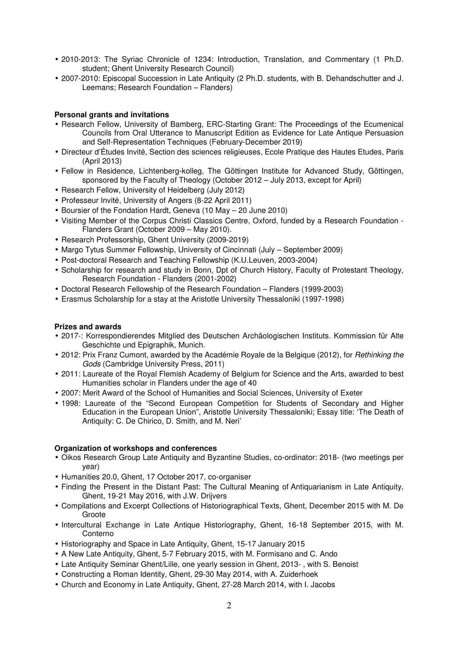- 2010-2013: The Syriac Chronicle of 1234: Introduction, Translation, and Commentary (1 Ph.D. student; Ghent University Research Council)
- 2007-2010: Episcopal Succession in Late Antiquity (2 Ph.D. students, with B. Dehandschutter and J. Leemans; Research Foundation – Flanders)

# **Personal grants and invitations**

- Research Fellow, University of Bamberg, ERC-Starting Grant: The Proceedings of the Ecumenical Councils from Oral Utterance to Manuscript Edition as Evidence for Late Antique Persuasion and Self-Representation Techniques (February-December 2019)
- Directeur d'Études Invité, Section des sciences religieuses, Ecole Pratique des Hautes Etudes, Paris (April 2013)
- Fellow in Residence, Lichtenberg-kolleg, The Göttingen Institute for Advanced Study, Göttingen, sponsored by the Faculty of Theology (October 2012 – July 2013, except for April)
- Research Fellow, University of Heidelberg (July 2012)
- Professeur Invité, University of Angers (8-22 April 2011)
- Boursier of the Fondation Hardt, Geneva (10 May 20 June 2010)
- Visiting Member of the Corpus Christi Classics Centre, Oxford, funded by a Research Foundation Flanders Grant (October 2009 – May 2010).
- Research Professorship, Ghent University (2009-2019)
- Margo Tytus Summer Fellowship, University of Cincinnati (July September 2009)
- Post-doctoral Research and Teaching Fellowship (K.U.Leuven, 2003-2004)
- Scholarship for research and study in Bonn, Dpt of Church History, Faculty of Protestant Theology, Research Foundation - Flanders (2001-2002)
- Doctoral Research Fellowship of the Research Foundation Flanders (1999-2003)
- Erasmus Scholarship for a stay at the Aristotle University Thessaloniki (1997-1998)

## **Prizes and awards**

- 2017-: Korrespondierendes Mitglied des Deutschen Archäologischen Instituts. Kommission für Alte Geschichte und Epigraphik, Munich.
- 2012: Prix Franz Cumont, awarded by the Académie Royale de la Belgique (2012), for Rethinking the Gods (Cambridge University Press, 2011)
- 2011: Laureate of the Royal Flemish Academy of Belgium for Science and the Arts, awarded to best Humanities scholar in Flanders under the age of 40
- 2007: Merit Award of the School of Humanities and Social Sciences, University of Exeter
- 1998: Laureate of the "Second European Competition for Students of Secondary and Higher Education in the European Union", Aristotle University Thessaloniki; Essay title: 'The Death of Antiquity: C. De Chirico, D. Smith, and M. Neri'

## **Organization of workshops and conferences**

- Oikos Research Group Late Antiquity and Byzantine Studies, co-ordinator: 2018- (two meetings per year)
- Humanities 20.0, Ghent, 17 October 2017, co-organiser
- Finding the Present in the Distant Past: The Cultural Meaning of Antiquarianism in Late Antiquity, Ghent, 19-21 May 2016, with J.W. Drijvers
- Compilations and Excerpt Collections of Historiographical Texts, Ghent, December 2015 with M. De **Groote**
- Intercultural Exchange in Late Antique Historiography, Ghent, 16-18 September 2015, with M. Conterno
- Historiography and Space in Late Antiquity, Ghent, 15-17 January 2015
- A New Late Antiquity, Ghent, 5-7 February 2015, with M. Formisano and C. Ando
- Late Antiquity Seminar Ghent/Lille, one yearly session in Ghent, 2013- , with S. Benoist
- Constructing a Roman Identity, Ghent, 29-30 May 2014, with A. Zuiderhoek
- Church and Economy in Late Antiquity, Ghent, 27-28 March 2014, with I. Jacobs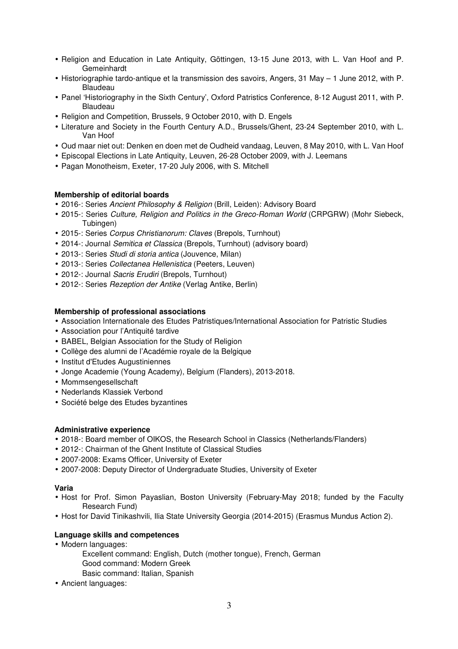- Religion and Education in Late Antiquity, Göttingen, 13-15 June 2013, with L. Van Hoof and P. Gemeinhardt
- Historiographie tardo-antique et la transmission des savoirs, Angers, 31 May 1 June 2012, with P. Blaudeau
- Panel 'Historiography in the Sixth Century', Oxford Patristics Conference, 8-12 August 2011, with P. Blaudeau
- Religion and Competition, Brussels, 9 October 2010, with D. Engels
- Literature and Society in the Fourth Century A.D., Brussels/Ghent, 23-24 September 2010, with L. Van Hoof
- Oud maar niet out: Denken en doen met de Oudheid vandaag, Leuven, 8 May 2010, with L. Van Hoof
- Episcopal Elections in Late Antiquity, Leuven, 26-28 October 2009, with J. Leemans
- Pagan Monotheism, Exeter, 17-20 July 2006, with S. Mitchell

## **Membership of editorial boards**

- 2016 -: Series Ancient Philosophy & Religion (Brill, Leiden): Advisory Board
- 2015-: Series Culture, Religion and Politics in the Greco-Roman World (CRPGRW) (Mohr Siebeck, Tubingen)
- 2015-: Series Corpus Christianorum: Claves (Brepols, Turnhout)
- 2014-: Journal Semitica et Classica (Brepols, Turnhout) (advisory board)
- 2013-: Series Studi di storia antica (Jouvence, Milan)
- 2013-: Series Collectanea Hellenistica (Peeters, Leuven)
- 2012-: Journal Sacris Erudiri (Brepols, Turnhout)
- 2012-: Series Rezeption der Antike (Verlag Antike, Berlin)

## **Membership of professional associations**

- Association Internationale des Etudes Patristiques/International Association for Patristic Studies
- Association pour l'Antiquité tardive
- BABEL, Belgian Association for the Study of Religion
- Collège des alumni de l'Académie royale de la Belgique
- Institut d'Etudes Augustiniennes
- Jonge Academie (Young Academy), Belgium (Flanders), 2013-2018.
- Mommsengesellschaft
- Nederlands Klassiek Verbond
- Société belge des Etudes byzantines

### **Administrative experience**

- 2018-: Board member of OIKOS, the Research School in Classics (Netherlands/Flanders)
- 2012-: Chairman of the Ghent Institute of Classical Studies
- 2007-2008: Exams Officer, University of Exeter
- 2007-2008: Deputy Director of Undergraduate Studies, University of Exeter

### **Varia**

- Host for Prof. Simon Payaslian, Boston University (February-May 2018; funded by the Faculty Research Fund)
- Host for David Tinikashvili, Ilia State University Georgia (2014-2015) (Erasmus Mundus Action 2).

### **Language skills and competences**

- Modern languages:
	- Excellent command: English, Dutch (mother tongue), French, German Good command: Modern Greek Basic command: Italian, Spanish
- Ancient languages: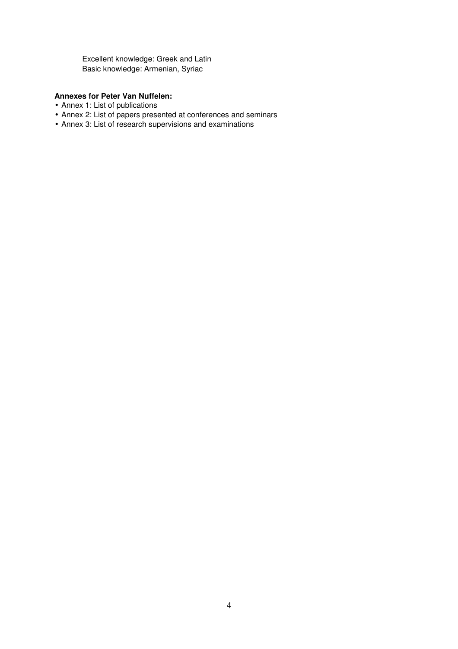Excellent knowledge: Greek and Latin Basic knowledge: Armenian, Syriac

# **Annexes for Peter Van Nuffelen:**

- Annex 1: List of publications
- Annex 2: List of papers presented at conferences and seminars
- Annex 3: List of research supervisions and examinations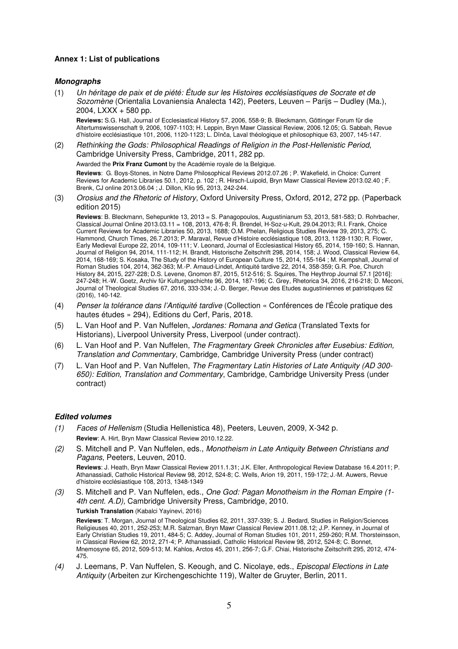## **Annex 1: List of publications**

### **Monographs**

(1) Un héritage de paix et de piété: Étude sur les Histoires ecclésiastiques de Socrate et de Sozomène (Orientalia Lovaniensia Analecta 142), Peeters, Leuven – Parijs – Dudley (Ma.), 2004, LXXX + 580 pp.

**Reviews:** S.G. Hall, Journal of Ecclesiastical History 57, 2006, 558-9; B. Bleckmann, Göttinger Forum für die Altertumswissenschaft 9, 2006, 1097-1103; H. Leppin, Bryn Mawr Classical Review, 2006.12.05; G. Sabbah, Revue d'histoire ecclésiastique 101, 2006, 1120-1123; L. Dînča, Laval théologique et philosophique 63, 2007, 145-147.

(2) Rethinking the Gods: Philosophical Readings of Religion in the Post-Hellenistic Period, Cambridge University Press, Cambridge, 2011, 282 pp.

Awarded the **Prix Franz Cumont** by the Académie royale de la Belgique.

**Reviews**: G. Boys-Stones, in Notre Dame Philosophical Reviews 2012.07.26 ; P. Wakefield, in Choice: Current Reviews for Academic Libraries 50.1, 2012, p. 102 ; R. Hirsch-Luipold, Bryn Mawr Classical Review 2013.02.40 ; F. Brenk, CJ online 2013.06.04 ; J. Dillon, Klio 95, 2013, 242-244.

(3) Orosius and the Rhetoric of History, Oxford University Press, Oxford, 2012, 272 pp. (Paperback edition 2015)

**Reviews**: B. Bleckmann, Sehepunkte 13, 2013 = S. Panagopoulos, Augustinianum 53, 2013, 581-583; D. Rohrbacher, Classical Journal Online 2013.03.11 = 108, 2013, 476-8; R. Brendel, H-Soz-u-Kult, 29.04.2013; R.I. Frank, Choice Current Reviews for Academic Libraries 50, 2013, 1688; O.M. Phelan, Religious Studies Review 39, 2013, 275; C. Hammond, Church Times, 26.7.2013; P. Maraval, Revue d'Histoire ecclésiastique 108, 2013, 1128-1130; R. Flower, Early Medieval Europe 22, 2014, 109-111; V. Leonard, Journal of Ecclesiastical History 65, 2014, 159-160; S. Hannan, Journal of Religion 94, 2014, 111-112; H. Brandt, Historische Zeitschrift 298, 2014, 158; J. Wood, Classical Review 64, 2014, 168-169; S. Kosaka, The Study of the History of European Culture 15, 2014, 155-164 ; M. Kempshall, Journal of Roman Studies 104, 2014, 362-363; M.-P. Arnaud-Lindet, Antiquité tardive 22, 2014, 358-359; G.R. Poe, Church History 84, 2015, 227-228; D.S. Levene, Gnomon 87, 2015, 512-516; S. Squires, The Heythrop Journal 57.1 [2016]: 247-248; H.-W. Goetz, Archiv für Kulturgeschichte 96, 2014, 187-196; C. Grey, Rhetorica 34, 2016, 216-218; D. Meconi, Journal of Theological Studies 67, 2016, 333-334; J.-D. Berger, Revue des Etudes augustiniennes et patristiques 62 (2016), 140-142.

- (4) Penser la tolérance dans l'Antiquité tardive (Collection « Conférences de l'École pratique des hautes études » 294), Editions du Cerf, Paris, 2018.
- (5) L. Van Hoof and P. Van Nuffelen, Jordanes: Romana and Getica (Translated Texts for Historians), Liverpool University Press, Liverpool (under contract).
- (6) L. Van Hoof and P. Van Nuffelen, The Fragmentary Greek Chronicles after Eusebius: Edition, Translation and Commentary, Cambridge, Cambridge University Press (under contract)
- (7) L. Van Hoof and P. Van Nuffelen, The Fragmentary Latin Histories of Late Antiquity (AD 300- 650): Edition, Translation and Commentary, Cambridge, Cambridge University Press (under contract)

### **Edited volumes**

- (1) Faces of Hellenism (Studia Hellenistica 48), Peeters, Leuven, 2009, X-342 p. **Review**: A. Hirt, Bryn Mawr Classical Review 2010.12.22.
- (2) S. Mitchell and P. Van Nuffelen, eds., Monotheism in Late Antiquity Between Christians and Pagans, Peeters, Leuven, 2010.

**Reviews**: J. Heath, Bryn Mawr Classical Review 2011.1.31; J.K. Eller, Anthropological Review Database 16.4.2011; P. Athanassiadi, Catholic Historical Review 98, 2012, 524-8; C. Wells, Arion 19, 2011, 159-172; J.-M. Auwers, Revue d'histoire ecclésiastique 108, 2013, 1348-1349

(3) S. Mitchell and P. Van Nuffelen, eds., One God: Pagan Monotheism in the Roman Empire (1- 4th cent. A.D), Cambridge University Press, Cambridge, 2010.

**Turkish Translation** (Kabalci Yayinevi, 2016)

**Reviews**: T. Morgan, Journal of Theological Studies 62, 2011, 337-339; S. J. Bedard, Studies in Religion/Sciences Religieuses 40, 2011, 252-253; M.R. Salzman, Bryn Mawr Classical Review 2011.08.12; J.P. Kenney, in Journal of Early Christian Studies 19, 2011, 484-5; C. Addey, Journal of Roman Studies 101, 2011, 259-260; R.M. Thorsteinsson, in Classical Review 62, 2012, 271-4; P. Athanassiadi, Catholic Historical Review 98, 2012, 524-8; C. Bonnet, Mnemosyne 65, 2012, 509-513; M. Kahlos, Arctos 45, 2011, 256-7; G.F. Chiai, Historische Zeitschrift 295, 2012, 474- 475.

(4) J. Leemans, P. Van Nuffelen, S. Keough, and C. Nicolaye, eds., *Episcopal Elections in Late* Antiquity (Arbeiten zur Kirchengeschichte 119), Walter de Gruyter, Berlin, 2011.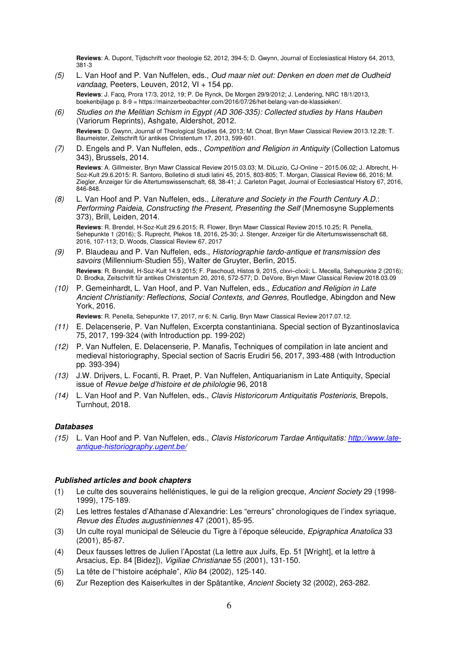**Reviews**: A. Dupont, Tijdschrift voor theologie 52, 2012, 394-5; D. Gwynn, Journal of Ecclesiastical History 64, 2013, 381-3

- (5) L. Van Hoof and P. Van Nuffelen, eds., Oud maar niet out: Denken en doen met de Oudheid vandaag, Peeters, Leuven, 2012, VI + 154 pp. **Reviews**: J. Facq, Prora 17/3, 2012, 19; P. De Rynck, De Morgen 29/9/2012; J. Lendering, NRC 18/1/2013, boekenbijlage p. 8-9 = https://mainzerbeobachter.com/2016/07/26/het-belang-van-de-klassieken/.
- (6) Studies on the Melitian Schism in Egypt (AD 306-335): Collected studies by Hans Hauben (Variorum Reprints), Ashgate, Aldershot, 2012. **Reviews**: D. Gwynn, Journal of Theological Studies 64, 2013; M. Choat, Bryn Mawr Classical Review 2013.12.28; T.
- Baumeister, Zeitschrift für antikes Christentum 17, 2013, 599-601. (7) D. Engels and P. Van Nuffelen, eds., Competition and Religion in Antiquity (Collection Latomus
- 343), Brussels, 2014. **Reviews**: A. Gillmeister, Bryn Mawr Classical Review 2015.03.03; M. DiLuzio, CJ-Online ~ 2015.06.02; J. Albrecht, H-

Soz-Kult 29.6.2015: R. Santoro, Bolletino di studi latini 45, 2015, 803-805; T. Morgan, Classical Review 66, 2016; M. Ziegler, Anzeiger für die Altertumswissenschaft, 68, 38-41; J. Carleton Paget, Journal of Ecclesiastical History 67, 2016, 846-848.

(8) L. Van Hoof and P. Van Nuffelen, eds., Literature and Society in the Fourth Century A.D.: Performing Paideia, Constructing the Present, Presenting the Self (Mnemosyne Supplements 373), Brill, Leiden, 2014.

**Reviews**: R. Brendel, H-Soz-Kult 29.6.2015; R. Flower, Bryn Mawr Classical Review 2015.10.25; R. Penella, Sehepunkte 1 (2016); S. Ruprecht, Plekos 18, 2016, 25-30; J. Stenger, Anzeiger für die Altertumswissenschaft 68, 2016, 107-113; D. Woods, Classical Review 67, 2017

- (9) P. Blaudeau and P. Van Nuffelen, eds., Historiographie tardo-antique et transmission des savoirs (Millennium-Studien 55), Walter de Gruyter, Berlin, 2015. **Reviews**: R. Brendel, H-Soz-Kult 14.9.2015; F. Paschoud, Histos 9, 2015, clxvi–clxxii; L. Mecella, Sehepunkte 2 (2016); D. Brodka, Zeitschrift für antikes Christentum 20, 2016, 572-577; D. DeVore, Bryn Mawr Classical Review 2018.03.09
- (10) P. Gemeinhardt, L. Van Hoof, and P. Van Nuffelen, eds., Education and Religion in Late Ancient Christianity: Reflections, Social Contexts, and Genres, Routledge, Abingdon and New York, 2016.

**Reviews**: R. Penella, Sehepunkte 17, 2017, nr 6; N. Carlig, Bryn Mawr Classical Review 2017.07.12.

- (11) E. Delacenserie, P. Van Nuffelen, Excerpta constantiniana. Special section of Byzantinoslavica 75, 2017, 199-324 (with Introduction pp. 199-202)
- (12) P. Van Nuffelen, E. Delacenserie, P. Manafis, Techniques of compilation in late ancient and medieval historiography, Special section of Sacris Erudiri 56, 2017, 393-488 (with Introduction pp. 393-394)
- (13) J.W. Drijvers, L. Focanti, R. Praet, P. Van Nuffelen, Antiquarianism in Late Antiquity, Special issue of Revue belge d'histoire et de philologie 96, 2018
- (14) L. Van Hoof and P. Van Nuffelen, eds., Clavis Historicorum Antiquitatis Posterioris, Brepols, Turnhout, 2018.

## **Databases**

(15) L. Van Hoof and P. Van Nuffelen, eds., Clavis Historicorum Tardae Antiquitatis: http://www.lateantique-historiography.ugent.be/

### **Published articles and book chapters**

- (1) Le culte des souverains hellénistiques, le gui de la religion grecque, Ancient Society 29 (1998- 1999), 175-189.
- (2) Les lettres festales d'Athanase d'Alexandrie: Les "erreurs" chronologiques de l'index syriaque, Revue des Études augustiniennes 47 (2001), 85-95.
- (3) Un culte royal municipal de Séleucie du Tigre à l'époque séleucide, Epigraphica Anatolica 33 (2001), 85-87.
- (4) Deux fausses lettres de Julien l'Apostat (La lettre aux Juifs, Ep. 51 [Wright], et la lettre à Arsacius, Ep. 84 [Bidez]), Vigiliae Christianae 55 (2001), 131-150.
- (5) La tête de l'"histoire acéphale", Klio 84 (2002), 125-140.
- (6) Zur Rezeption des Kaiserkultes in der Spätantike, Ancient Society 32 (2002), 263-282.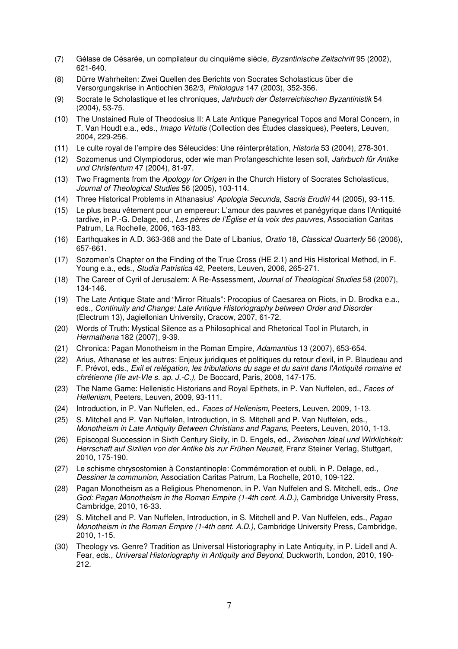- (7) Gélase de Césarée, un compilateur du cinquième siècle, Byzantinische Zeitschrift 95 (2002), 621-640.
- (8) Dürre Wahrheiten: Zwei Quellen des Berichts von Socrates Scholasticus über die Versorgungskrise in Antiochien 362/3, Philologus 147 (2003), 352-356.
- (9) Socrate le Scholastique et les chroniques, Jahrbuch der Österreichischen Byzantinistik 54 (2004), 53-75.
- (10) The Unstained Rule of Theodosius II: A Late Antique Panegyrical Topos and Moral Concern, in T. Van Houdt e.a., eds., *Imago Virtutis* (Collection des Études classiques), Peeters, Leuven, 2004, 229-256.
- (11) Le culte royal de l'empire des Séleucides: Une réinterprétation, Historia 53 (2004), 278-301.
- (12) Sozomenus und Olympiodorus, oder wie man Profangeschichte lesen soll, Jahrbuch für Antike und Christentum 47 (2004), 81-97.
- (13) Two Fragments from the Apology for Origen in the Church History of Socrates Scholasticus, Journal of Theological Studies 56 (2005), 103-114.
- (14) Three Historical Problems in Athanasius' Apologia Secunda, Sacris Erudiri 44 (2005), 93-115.
- (15) Le plus beau vêtement pour un empereur: L'amour des pauvres et panégyrique dans l'Antiquité tardive, in P.-G. Delage, ed., Les pères de l'Église et la voix des pauvres, Association Caritas Patrum, La Rochelle, 2006, 163-183.
- (16) Earthquakes in A.D. 363-368 and the Date of Libanius, Oratio 18, Classical Quarterly 56 (2006), 657-661.
- (17) Sozomen's Chapter on the Finding of the True Cross (HE 2.1) and His Historical Method, in F. Young e.a., eds., Studia Patristica 42, Peeters, Leuven, 2006, 265-271.
- (18) The Career of Cyril of Jerusalem: A Re-Assessment, Journal of Theological Studies 58 (2007), 134-146.
- (19) The Late Antique State and "Mirror Rituals": Procopius of Caesarea on Riots, in D. Brodka e.a., eds., Continuity and Change: Late Antique Historiography between Order and Disorder (Electrum 13), Jagiellonian University, Cracow, 2007, 61-72.
- (20) Words of Truth: Mystical Silence as a Philosophical and Rhetorical Tool in Plutarch, in Hermathena 182 (2007), 9-39.
- (21) Chronica: Pagan Monotheism in the Roman Empire, Adamantius 13 (2007), 653-654.
- (22) Arius, Athanase et les autres: Enjeux juridiques et politiques du retour d'exil, in P. Blaudeau and F. Prévot, eds., Exil et relégation, les tribulations du sage et du saint dans l'Antiquité romaine et chrétienne (IIe avt-VIe s. ap. J.-C.), De Boccard, Paris, 2008, 147-175.
- (23) The Name Game: Hellenistic Historians and Royal Epithets, in P. Van Nuffelen, ed., Faces of Hellenism, Peeters, Leuven, 2009, 93-111.
- (24) Introduction, in P. Van Nuffelen, ed., Faces of Hellenism, Peeters, Leuven, 2009, 1-13.
- (25) S. Mitchell and P. Van Nuffelen, Introduction, in S. Mitchell and P. Van Nuffelen, eds., Monotheism in Late Antiquity Between Christians and Pagans, Peeters, Leuven, 2010, 1-13.
- (26) Episcopal Succession in Sixth Century Sicily, in D. Engels, ed., Zwischen Ideal und Wirklichkeit: Herrschaft auf Sizilien von der Antike bis zur Frühen Neuzeit, Franz Steiner Verlag, Stuttgart, 2010, 175-190.
- (27) Le schisme chrysostomien à Constantinople: Commémoration et oubli, in P. Delage, ed., Dessiner la communion, Association Caritas Patrum, La Rochelle, 2010, 109-122.
- (28) Pagan Monotheism as a Religious Phenomenon, in P. Van Nuffelen and S. Mitchell, eds., One God: Pagan Monotheism in the Roman Empire (1-4th cent. A.D.), Cambridge University Press, Cambridge, 2010, 16-33.
- (29) S. Mitchell and P. Van Nuffelen, Introduction, in S. Mitchell and P. Van Nuffelen, eds., Pagan Monotheism in the Roman Empire (1-4th cent. A.D.), Cambridge University Press, Cambridge, 2010, 1-15.
- (30) Theology vs. Genre? Tradition as Universal Historiography in Late Antiquity, in P. Lidell and A. Fear, eds., Universal Historiography in Antiquity and Beyond, Duckworth, London, 2010, 190- 212.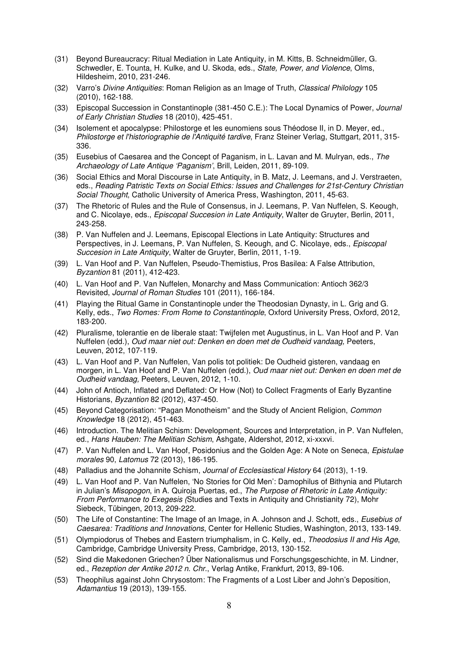- (31) Beyond Bureaucracy: Ritual Mediation in Late Antiquity, in M. Kitts, B. Schneidmüller, G. Schwedler, E. Tounta, H. Kulke, and U. Skoda, eds., State, Power, and Violence, Olms, Hildesheim, 2010, 231-246.
- (32) Varro's Divine Antiquities: Roman Religion as an Image of Truth, Classical Philology 105 (2010), 162-188.
- (33) Episcopal Succession in Constantinople (381-450 C.E.): The Local Dynamics of Power, Journal of Early Christian Studies 18 (2010), 425-451.
- (34) Isolement et apocalypse: Philostorge et les eunomiens sous Théodose II, in D. Meyer, ed., Philostorge et l'historiographie de l'Antiquité tardive, Franz Steiner Verlag, Stuttgart, 2011, 315- 336.
- (35) Eusebius of Caesarea and the Concept of Paganism, in L. Lavan and M. Mulryan, eds., The Archaeology of Late Antique 'Paganism', Brill, Leiden, 2011, 89-109.
- (36) Social Ethics and Moral Discourse in Late Antiquity, in B. Matz, J. Leemans, and J. Verstraeten, eds., Reading Patristic Texts on Social Ethics: Issues and Challenges for 21st-Century Christian Social Thought, Catholic University of America Press, Washington, 2011, 45-63.
- (37) The Rhetoric of Rules and the Rule of Consensus, in J. Leemans, P. Van Nuffelen, S. Keough, and C. Nicolaye, eds., *Episcopal Succesion in Late Antiquity*, Walter de Gruyter, Berlin, 2011, 243-258.
- (38) P. Van Nuffelen and J. Leemans, Episcopal Elections in Late Antiquity: Structures and Perspectives, in J. Leemans, P. Van Nuffelen, S. Keough, and C. Nicolaye, eds., Episcopal Succesion in Late Antiquity, Walter de Gruyter, Berlin, 2011, 1-19.
- (39) L. Van Hoof and P. Van Nuffelen, Pseudo-Themistius, Pros Basilea: A False Attribution, Byzantion 81 (2011), 412-423.
- (40) L. Van Hoof and P. Van Nuffelen, Monarchy and Mass Communication: Antioch 362/3 Revisited, Journal of Roman Studies 101 (2011), 166-184.
- (41) Playing the Ritual Game in Constantinople under the Theodosian Dynasty, in L. Grig and G. Kelly, eds., Two Romes: From Rome to Constantinople, Oxford University Press, Oxford, 2012, 183-200.
- (42) Pluralisme, tolerantie en de liberale staat: Twijfelen met Augustinus, in L. Van Hoof and P. Van Nuffelen (edd.), Oud maar niet out: Denken en doen met de Oudheid vandaag, Peeters, Leuven, 2012, 107-119.
- (43) L. Van Hoof and P. Van Nuffelen, Van polis tot politiek: De Oudheid gisteren, vandaag en morgen, in L. Van Hoof and P. Van Nuffelen (edd.), Oud maar niet out: Denken en doen met de Oudheid vandaag, Peeters, Leuven, 2012, 1-10.
- (44) John of Antioch, Inflated and Deflated: Or How (Not) to Collect Fragments of Early Byzantine Historians, Byzantion 82 (2012), 437-450.
- (45) Beyond Categorisation: "Pagan Monotheism" and the Study of Ancient Religion, Common Knowledge 18 (2012), 451-463.
- (46) Introduction. The Melitian Schism: Development, Sources and Interpretation, in P. Van Nuffelen, ed., Hans Hauben: The Melitian Schism, Ashgate, Aldershot, 2012, xi-xxxvi.
- (47) P. Van Nuffelen and L. Van Hoof, Posidonius and the Golden Age: A Note on Seneca, Epistulae morales 90, Latomus 72 (2013), 186-195.
- (48) Palladius and the Johannite Schism, Journal of Ecclesiastical History 64 (2013), 1-19.
- (49) L. Van Hoof and P. Van Nuffelen, 'No Stories for Old Men': Damophilus of Bithynia and Plutarch in Julian's Misopogon, in A. Quiroja Puertas, ed., The Purpose of Rhetoric in Late Antiquity: From Performance to Exegesis (Studies and Texts in Antiquity and Christianity 72), Mohr Siebeck, Tübingen, 2013, 209-222.
- (50) The Life of Constantine: The Image of an Image, in A. Johnson and J. Schott, eds., Eusebius of Caesarea: Traditions and Innovations, Center for Hellenic Studies, Washington, 2013, 133-149.
- (51) Olympiodorus of Thebes and Eastern triumphalism, in C. Kelly, ed., Theodosius II and His Age, Cambridge, Cambridge University Press, Cambridge, 2013, 130-152.
- (52) Sind die Makedonen Griechen? Über Nationalismus und Forschungsgeschichte, in M. Lindner, ed., Rezeption der Antike 2012 n. Chr., Verlag Antike, Frankfurt, 2013, 89-106.
- (53) Theophilus against John Chrysostom: The Fragments of a Lost Liber and John's Deposition, Adamantius 19 (2013), 139-155.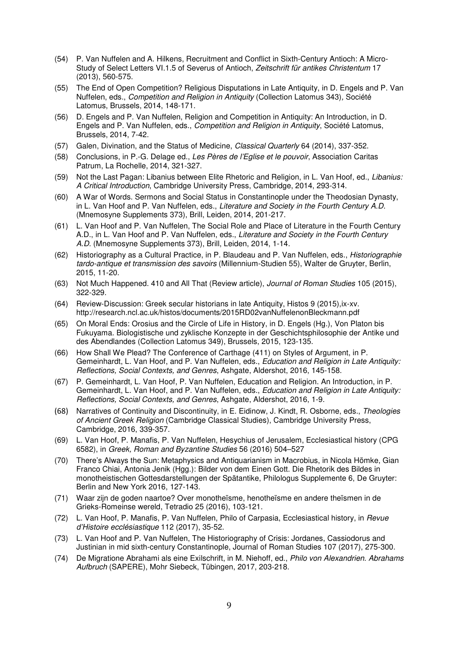- (54) P. Van Nuffelen and A. Hilkens, Recruitment and Conflict in Sixth-Century Antioch: A Micro-Study of Select Letters VI.1.5 of Severus of Antioch, Zeitschrift für antikes Christentum 17 (2013), 560-575.
- (55) The End of Open Competition? Religious Disputations in Late Antiquity, in D. Engels and P. Van Nuffelen, eds., Competition and Religion in Antiquity (Collection Latomus 343), Société Latomus, Brussels, 2014, 148-171.
- (56) D. Engels and P. Van Nuffelen, Religion and Competition in Antiquity: An Introduction, in D. Engels and P. Van Nuffelen, eds., Competition and Religion in Antiquity, Société Latomus, Brussels, 2014, 7-42.
- (57) Galen, Divination, and the Status of Medicine, Classical Quarterly 64 (2014), 337-352.
- (58) Conclusions, in P.-G. Delage ed., Les Pères de l'Eglise et le pouvoir, Association Caritas Patrum, La Rochelle, 2014, 321-327.
- (59) Not the Last Pagan: Libanius between Elite Rhetoric and Religion, in L. Van Hoof, ed., Libanius: A Critical Introduction, Cambridge University Press, Cambridge, 2014, 293-314.
- (60) A War of Words. Sermons and Social Status in Constantinople under the Theodosian Dynasty, in L. Van Hoof and P. Van Nuffelen, eds., Literature and Society in the Fourth Century A.D. (Mnemosyne Supplements 373), Brill, Leiden, 2014, 201-217.
- (61) L. Van Hoof and P. Van Nuffelen, The Social Role and Place of Literature in the Fourth Century A.D., in L. Van Hoof and P. Van Nuffelen, eds., Literature and Society in the Fourth Century A.D. (Mnemosyne Supplements 373), Brill, Leiden, 2014, 1-14.
- (62) Historiography as a Cultural Practice, in P. Blaudeau and P. Van Nuffelen, eds., Historiographie tardo-antique et transmission des savoirs (Millennium-Studien 55), Walter de Gruyter, Berlin, 2015, 11-20.
- (63) Not Much Happened. 410 and All That (Review article), Journal of Roman Studies 105 (2015), 322-329.
- (64) Review-Discussion: Greek secular historians in late Antiquity, Histos 9 (2015),ix-xv. http://research.ncl.ac.uk/histos/documents/2015RD02vanNuffelenonBleckmann.pdf
- (65) On Moral Ends: Orosius and the Circle of Life in History, in D. Engels (Hg.), Von Platon bis Fukuyama. Biologistische und zyklische Konzepte in der Geschichtsphilosophie der Antike und des Abendlandes (Collection Latomus 349), Brussels, 2015, 123-135.
- (66) How Shall We Plead? The Conference of Carthage (411) on Styles of Argument, in P. Gemeinhardt, L. Van Hoof, and P. Van Nuffelen, eds., Education and Religion in Late Antiquity: Reflections, Social Contexts, and Genres, Ashgate, Aldershot, 2016, 145-158.
- (67) P. Gemeinhardt, L. Van Hoof, P. Van Nuffelen, Education and Religion. An Introduction, in P. Gemeinhardt, L. Van Hoof, and P. Van Nuffelen, eds., Education and Religion in Late Antiquity: Reflections, Social Contexts, and Genres, Ashgate, Aldershot, 2016, 1-9.
- (68) Narratives of Continuity and Discontinuity, in E. Eidinow, J. Kindt, R. Osborne, eds., Theologies of Ancient Greek Religion (Cambridge Classical Studies), Cambridge University Press, Cambridge, 2016, 339-357.
- (69) L. Van Hoof, P. Manafis, P. Van Nuffelen, Hesychius of Jerusalem, Ecclesiastical history (CPG 6582), in Greek, Roman and Byzantine Studies 56 (2016) 504–527
- (70) There's Always the Sun: Metaphysics and Antiquarianism in Macrobius, in Nicola Hömke, Gian Franco Chiai, Antonia Jenik (Hgg.): Bilder von dem Einen Gott. Die Rhetorik des Bildes in monotheistischen Gottesdarstellungen der Spätantike, Philologus Supplemente 6, De Gruyter: Berlin and New York 2016, 127-143.
- (71) Waar zijn de goden naartoe? Over monotheïsme, henotheïsme en andere theïsmen in de Grieks-Romeinse wereld, Tetradio 25 (2016), 103-121.
- (72) L. Van Hoof, P. Manafis, P. Van Nuffelen, Philo of Carpasia, Ecclesiastical history, in Revue d'Histoire ecclésiastique 112 (2017), 35-52.
- (73) L. Van Hoof and P. Van Nuffelen, The Historiography of Crisis: Jordanes, Cassiodorus and Justinian in mid sixth-century Constantinople, Journal of Roman Studies 107 (2017), 275-300.
- (74) De Migratione Abrahami als eine Exilschrift, in M. Niehoff, ed., Philo von Alexandrien. Abrahams Aufbruch (SAPERE), Mohr Siebeck, Tübingen, 2017, 203-218.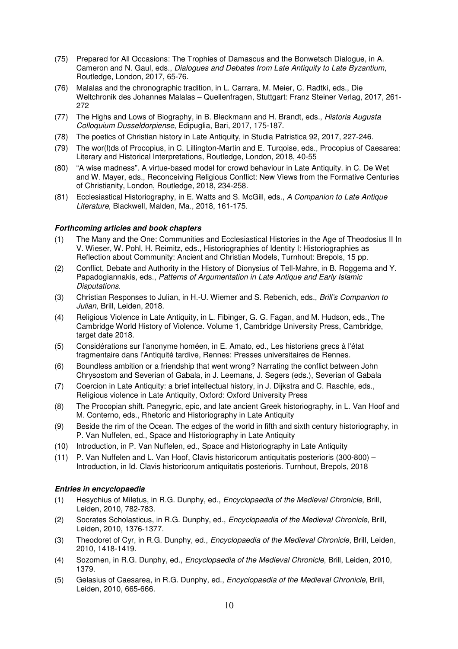- (75) Prepared for All Occasions: The Trophies of Damascus and the Bonwetsch Dialogue, in A. Cameron and N. Gaul, eds., Dialogues and Debates from Late Antiquity to Late Byzantium, Routledge, London, 2017, 65-76.
- (76) Malalas and the chronographic tradition, in L. Carrara, M. Meier, C. Radtki, eds., Die Weltchronik des Johannes Malalas – Quellenfragen, Stuttgart: Franz Steiner Verlag, 2017, 261- 272
- (77) The Highs and Lows of Biography, in B. Bleckmann and H. Brandt, eds., Historia Augusta Colloquium Dusseldorpiense, Edipuglia, Bari, 2017, 175-187.
- (78) The poetics of Christian history in Late Antiquity, in Studia Patristica 92, 2017, 227-246.
- (79) The wor(l)ds of Procopius, in C. Lillington-Martin and E. Turqoise, eds., Procopius of Caesarea: Literary and Historical Interpretations, Routledge, London, 2018, 40-55
- (80) "A wise madness". A virtue-based model for crowd behaviour in Late Antiquity. in C. De Wet and W. Mayer, eds., Reconceiving Religious Conflict: New Views from the Formative Centuries of Christianity, London, Routledge, 2018, 234-258.
- (81) Ecclesiastical Historiography, in E. Watts and S. McGill, eds., A Companion to Late Antique Literature, Blackwell, Malden, Ma., 2018, 161-175.

## **Forthcoming articles and book chapters**

- (1) The Many and the One: Communities and Ecclesiastical Histories in the Age of Theodosius II In V. Wieser, W. Pohl, H. Reimitz, eds., Historiographies of Identity I: Historiographies as Reflection about Community: Ancient and Christian Models, Turnhout: Brepols, 15 pp.
- (2) Conflict, Debate and Authority in the History of Dionysius of Tell-Mahre, in B. Roggema and Y. Papadogiannakis, eds., Patterns of Argumentation in Late Antique and Early Islamic Disputations.
- (3) Christian Responses to Julian, in H.-U. Wiemer and S. Rebenich, eds., Brill's Companion to Julian, Brill, Leiden, 2018.
- (4) Religious Violence in Late Antiquity, in L. Fibinger, G. G. Fagan, and M. Hudson, eds., The Cambridge World History of Violence. Volume 1, Cambridge University Press, Cambridge, target date 2018.
- (5) Considérations sur l'anonyme homéen, in E. Amato, ed., Les historiens grecs à l'état fragmentaire dans l'Antiquité tardive, Rennes: Presses universitaires de Rennes.
- (6) Boundless ambition or a friendship that went wrong? Narrating the conflict between John Chrysostom and Severian of Gabala, in J. Leemans, J. Segers (eds.), Severian of Gabala
- (7) Coercion in Late Antiquity: a brief intellectual history, in J. Dijkstra and C. Raschle, eds., Religious violence in Late Antiquity, Oxford: Oxford University Press
- (8) The Procopian shift. Panegyric, epic, and late ancient Greek historiography, in L. Van Hoof and M. Conterno, eds., Rhetoric and Historiography in Late Antiquity
- (9) Beside the rim of the Ocean. The edges of the world in fifth and sixth century historiography, in P. Van Nuffelen, ed., Space and Historiography in Late Antiquity
- (10) Introduction, in P. Van Nuffelen, ed., Space and Historiography in Late Antiquity
- (11) P. Van Nuffelen and L. Van Hoof, Clavis historicorum antiquitatis posterioris (300-800) Introduction, in Id. Clavis historicorum antiquitatis posterioris. Turnhout, Brepols, 2018

### **Entries in encyclopaedia**

- (1) Hesychius of Miletus, in R.G. Dunphy, ed., Encyclopaedia of the Medieval Chronicle, Brill, Leiden, 2010, 782-783.
- (2) Socrates Scholasticus, in R.G. Dunphy, ed., Encyclopaedia of the Medieval Chronicle, Brill, Leiden, 2010, 1376-1377.
- (3) Theodoret of Cyr, in R.G. Dunphy, ed., Encyclopaedia of the Medieval Chronicle, Brill, Leiden, 2010, 1418-1419.
- (4) Sozomen, in R.G. Dunphy, ed., Encyclopaedia of the Medieval Chronicle, Brill, Leiden, 2010, 1379.
- (5) Gelasius of Caesarea, in R.G. Dunphy, ed., Encyclopaedia of the Medieval Chronicle, Brill, Leiden, 2010, 665-666.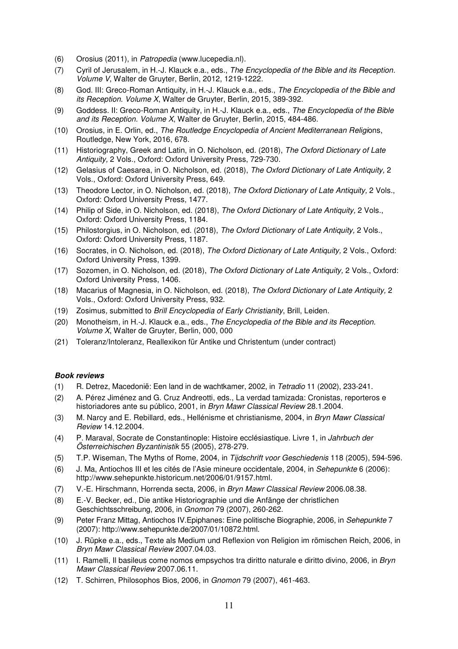- (6) Orosius (2011), in Patropedia (www.lucepedia.nl).
- (7) Cyril of Jerusalem, in H.-J. Klauck e.a., eds., The Encyclopedia of the Bible and its Reception. Volume V, Walter de Gruyter, Berlin, 2012, 1219-1222.
- (8) God. III: Greco-Roman Antiquity, in H.-J. Klauck e.a., eds., The Encyclopedia of the Bible and its Reception. Volume X, Walter de Gruyter, Berlin, 2015, 389-392.
- (9) Goddess. II: Greco-Roman Antiquity, in H.-J. Klauck e.a., eds., The Encyclopedia of the Bible and its Reception. Volume X, Walter de Gruyter, Berlin, 2015, 484-486.
- (10) Orosius, in E. Orlin, ed., The Routledge Encyclopedia of Ancient Mediterranean Religions, Routledge, New York, 2016, 678.
- (11) Historiography, Greek and Latin, in O. Nicholson, ed. (2018), The Oxford Dictionary of Late Antiquity, 2 Vols., Oxford: Oxford University Press, 729-730.
- (12) Gelasius of Caesarea, in O. Nicholson, ed. (2018), The Oxford Dictionary of Late Antiquity, 2 Vols., Oxford: Oxford University Press, 649.
- (13) Theodore Lector, in O. Nicholson, ed. (2018), The Oxford Dictionary of Late Antiquity, 2 Vols., Oxford: Oxford University Press, 1477.
- (14) Philip of Side, in O. Nicholson, ed. (2018), The Oxford Dictionary of Late Antiquity, 2 Vols., Oxford: Oxford University Press, 1184.
- (15) Philostorgius, in O. Nicholson, ed. (2018), The Oxford Dictionary of Late Antiquity, 2 Vols., Oxford: Oxford University Press, 1187.
- (16) Socrates, in O. Nicholson, ed. (2018), The Oxford Dictionary of Late Antiquity, 2 Vols., Oxford: Oxford University Press, 1399.
- (17) Sozomen, in O. Nicholson, ed. (2018), The Oxford Dictionary of Late Antiquity, 2 Vols., Oxford: Oxford University Press, 1406.
- (18) Macarius of Magnesia, in O. Nicholson, ed. (2018), The Oxford Dictionary of Late Antiquity, 2 Vols., Oxford: Oxford University Press, 932.
- (19) Zosimus, submitted to Brill Encyclopedia of Early Christianity, Brill, Leiden.
- (20) Monotheism, in H.-J. Klauck e.a., eds., The Encyclopedia of the Bible and its Reception. Volume X, Walter de Gruyter, Berlin, 000, 000
- (21) Toleranz/Intoleranz, Reallexikon für Antike und Christentum (under contract)

### **Book reviews**

- (1) R. Detrez, Macedonië: Een land in de wachtkamer, 2002, in Tetradio 11 (2002), 233-241.
- (2) A. Pérez Jiménez and G. Cruz Andreotti, eds., La verdad tamizada: Cronistas, reporteros e historiadores ante su público, 2001, in Bryn Mawr Classical Review 28.1.2004.
- (3) M. Narcy and E. Rebillard, eds., Hellénisme et christianisme, 2004, in Bryn Mawr Classical Review 14.12.2004.
- (4) P. Maraval, Socrate de Constantinople: Histoire ecclésiastique. Livre 1, in Jahrbuch der Österreichischen Byzantinistik 55 (2005), 278-279.
- (5) T.P. Wiseman, The Myths of Rome, 2004, in Tijdschrift voor Geschiedenis 118 (2005), 594-596.
- (6) J. Ma, Antiochos III et les cités de l'Asie mineure occidentale, 2004, in Sehepunkte 6 (2006): http://www.sehepunkte.historicum.net/2006/01/9157.html.
- (7) V.-E. Hirschmann, Horrenda secta, 2006, in Bryn Mawr Classical Review 2006.08.38.
- (8) E.-V. Becker, ed., Die antike Historiographie und die Anfänge der christlichen Geschichtsschreibung, 2006, in Gnomon 79 (2007), 260-262.
- (9) Peter Franz Mittag, Antiochos IV.Epiphanes: Eine politische Biographie, 2006, in Sehepunkte 7 (2007): http://www.sehepunkte.de/2007/01/10872.html.
- (10) J. Rüpke e.a., eds., Texte als Medium und Reflexion von Religion im römischen Reich, 2006, in Bryn Mawr Classical Review 2007.04.03.
- (11) I. Ramelli, Il basileus come nomos empsychos tra diritto naturale e diritto divino, 2006, in Bryn Mawr Classical Review 2007.06.11.
- (12) T. Schirren, Philosophos Bios, 2006, in Gnomon 79 (2007), 461-463.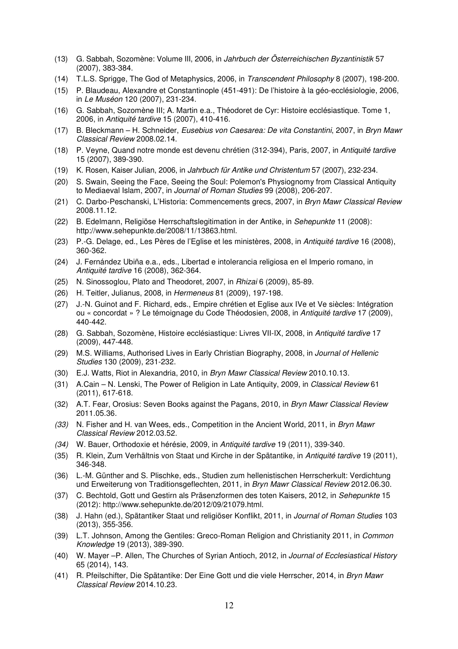- (13) G. Sabbah, Sozomène: Volume III, 2006, in Jahrbuch der Österreichischen Byzantinistik 57 (2007), 383-384.
- (14) T.L.S. Sprigge, The God of Metaphysics, 2006, in Transcendent Philosophy 8 (2007), 198-200.
- (15) P. Blaudeau, Alexandre et Constantinople (451-491): De l'histoire à la géo-ecclésiologie, 2006, in Le Muséon 120 (2007), 231-234.
- (16) G. Sabbah, Sozomène III; A. Martin e.a., Théodoret de Cyr: Histoire ecclésiastique. Tome 1, 2006, in Antiquité tardive 15 (2007), 410-416.
- (17) B. Bleckmann H. Schneider, Eusebius von Caesarea: De vita Constantini, 2007, in Bryn Mawr Classical Review 2008.02.14.
- (18) P. Veyne, Quand notre monde est devenu chrétien (312-394), Paris, 2007, in Antiquité tardive 15 (2007), 389-390.
- (19) K. Rosen, Kaiser Julian, 2006, in Jahrbuch für Antike und Christentum 57 (2007), 232-234.
- (20) S. Swain, Seeing the Face, Seeing the Soul: Polemon's Physiognomy from Classical Antiquity to Mediaeval Islam, 2007, in Journal of Roman Studies 99 (2008), 206-207.
- (21) C. Darbo-Peschanski, L'Historia: Commencements grecs, 2007, in Bryn Mawr Classical Review 2008.11.12.
- (22) B. Edelmann, Religiöse Herrschaftslegitimation in der Antike, in Sehepunkte 11 (2008): http://www.sehepunkte.de/2008/11/13863.html.
- (23) P.-G. Delage, ed., Les Pères de l'Eglise et les ministères, 2008, in Antiquité tardive 16 (2008), 360-362.
- (24) J. Fernández Ubiña e.a., eds., Libertad e intolerancia religiosa en el Imperio romano, in Antiquité tardive 16 (2008), 362-364.
- (25) N. Sinossoglou, Plato and Theodoret, 2007, in Rhizai 6 (2009), 85-89.
- (26) H. Teitler, Julianus, 2008, in Hermeneus 81 (2009), 197-198.
- (27) J.-N. Guinot and F. Richard, eds., Empire chrétien et Eglise aux IVe et Ve siècles: Intégration ou « concordat » ? Le témoignage du Code Théodosien, 2008, in Antiquité tardive 17 (2009), 440-442.
- (28) G. Sabbah, Sozomène, Histoire ecclésiastique: Livres VII-IX, 2008, in Antiquité tardive 17 (2009), 447-448.
- (29) M.S. Williams, Authorised Lives in Early Christian Biography, 2008, in Journal of Hellenic Studies 130 (2009), 231-232.
- (30) E.J. Watts, Riot in Alexandria, 2010, in Bryn Mawr Classical Review 2010.10.13.
- (31) A.Cain N. Lenski, The Power of Religion in Late Antiquity, 2009, in Classical Review 61 (2011), 617-618.
- (32) A.T. Fear, Orosius: Seven Books against the Pagans, 2010, in Bryn Mawr Classical Review 2011.05.36.
- (33) N. Fisher and H. van Wees, eds., Competition in the Ancient World, 2011, in Bryn Mawr Classical Review 2012.03.52.
- (34) W. Bauer, Orthodoxie et hérésie, 2009, in Antiquité tardive 19 (2011), 339-340.
- (35) R. Klein, Zum Verhältnis von Staat und Kirche in der Spätantike, in Antiquité tardive 19 (2011), 346-348.
- (36) L.-M. Günther and S. Plischke, eds., Studien zum hellenistischen Herrscherkult: Verdichtung und Erweiterung von Traditionsgeflechten, 2011, in Bryn Mawr Classical Review 2012.06.30.
- (37) C. Bechtold, Gott und Gestirn als Präsenzformen des toten Kaisers, 2012, in Sehepunkte 15 (2012): http://www.sehepunkte.de/2012/09/21079.html.
- (38) J. Hahn (ed.), Spätantiker Staat und religiöser Konflikt, 2011, in Journal of Roman Studies 103 (2013), 355-356.
- (39) L.T. Johnson, Among the Gentiles: Greco-Roman Religion and Christianity 2011, in Common Knowledge 19 (2013), 389-390.
- (40) W. Mayer –P. Allen, The Churches of Syrian Antioch, 2012, in Journal of Ecclesiastical History 65 (2014), 143.
- (41) R. Pfeilschifter, Die Spätantike: Der Eine Gott und die viele Herrscher, 2014, in Bryn Mawr Classical Review 2014.10.23.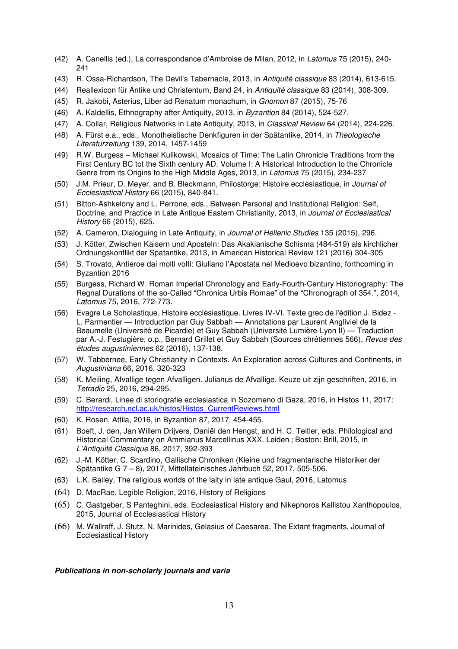- (42) A. Canellis (ed.), La correspondance d'Ambroise de Milan, 2012, in Latomus 75 (2015), 240-  $241$
- (43) R. Ossa-Richardson, The Devil's Tabernacle, 2013, in Antiquité classique 83 (2014), 613-615.
- (44) Reallexicon für Antike und Christentum, Band 24, in Antiquité classique 83 (2014), 308-309.
- (45) R. Jakobi, Asterius, Liber ad Renatum monachum, in Gnomon 87 (2015), 75-76
- (46) A. Kaldellis, Ethnography after Antiquity, 2013, in Byzantion 84 (2014), 524-527.
- (47) A. Collar, Religious Networks in Late Antiquity, 2013, in Classical Review 64 (2014), 224-226.
- (48) A. Fürst e.a., eds., Monotheistische Denkfiguren in der Spätantike, 2014, in Theologische Literaturzeitung 139, 2014, 1457-1459
- (49) R.W. Burgess Michael Kulikowski, Mosaics of Time: The Latin Chronicle Traditions from the First Century BC tot the Sixth century AD. Volume I: A Historical Introduction to the Chronicle Genre from its Origins to the High Middle Ages, 2013, in Latomus 75 (2015), 234-237
- (50) J.M. Prieur, D. Meyer, and B. Bleckmann, Philostorge: Histoire ecclésiastique, in Journal of Ecclesiastical History 66 (2015), 840-841.
- (51) Bitton-Ashkelony and L. Perrone, eds., Between Personal and Institutional Religion: Self, Doctrine, and Practice in Late Antique Eastern Christianity, 2013, in Journal of Ecclesiastical History 66 (2015), 625.
- (52) A. Cameron, Dialoguing in Late Antiquity, in Journal of Hellenic Studies 135 (2015), 296.
- (53) J. Kötter, Zwischen Kaisern und Aposteln: Das Akakianische Schisma (484-519) als kirchlicher Ordnungskonflikt der Spatantike, 2013, in American Historical Review 121 (2016) 304-305
- (54) S. Trovato, Antieroe dai molti volti: Giuliano l'Apostata nel Medioevo bizantino, forthcoming in Byzantion 2016
- (55) Burgess, Richard W. Roman Imperial Chronology and Early-Fourth-Century Historiography: The Regnal Durations of the so-Called "Chronica Urbis Romae" of the "Chronograph of 354.", 2014, Latomus 75, 2016, 772-773.
- (56) Evagre Le Scholastique. Histoire ecclésiastique. Livres IV-VI. Texte grec de l'édition J. Bidez L. Parmentier — Introduction par Guy Sabbah — Annotations par Laurent Angliviel de la Beaumelle (Université de Picardie) et Guy Sabbah (Université Lumière-Lyon II) — Traduction par A.-J. Festugière, o.p., Bernard Grillet et Guy Sabbah (Sources chrétiennes 566), Revue des études augustiniennes 62 (2016), 137-138.
- (57) W. Tabbernee, Early Christianity in Contexts. An Exploration across Cultures and Continents, in Augustiniana 66, 2016, 320-323
- (58) K. Meiling, Afvallige tegen Afvalligen. Julianus de Afvallige. Keuze uit zijn geschriften, 2016, in Tetradio 25, 2016, 294-295.
- (59) C. Berardi, Linee di storiografie ecclesiastica in Sozomeno di Gaza, 2016, in Histos 11, 2017: http://research.ncl.ac.uk/histos/Histos\_CurrentReviews.html
- (60) K. Rosen, Attila, 2016, in Byzantion 87, 2017, 454-455.
- (61) Boeft, J. den, Jan Willem Drijvers, Daniël den Hengst, and H. C. Teitler, eds. Philological and Historical Commentary on Ammianus Marcellinus XXX. Leiden ; Boston: Brill, 2015, in L'Antiquité Classique 86, 2017, 392-393
- (62) J.-M. Kötter, C. Scardino, Gallische Chroniken (Kleine und fragmentarische Historiker der Spätantike G 7 – 8), 2017, Mittellateinisches Jahrbuch 52, 2017, 505-506.
- (63) L.K. Bailey, The religious worlds of the laity in late antique Gaul, 2016, Latomus
- (64) D. MacRae, Legible Religion, 2016, History of Religions
- (65) C. Gastgeber, S Panteghini, eds. Ecclesiastical History and Nikephoros Kallistou Xanthopoulos, 2015, Journal of Ecclesiastical History
- (66) M. Wallraff, J. Stutz, N. Marinides, Gelasius of Caesarea. The Extant fragments, Journal of Ecclesiastical History

## **Publications in non-scholarly journals and varia**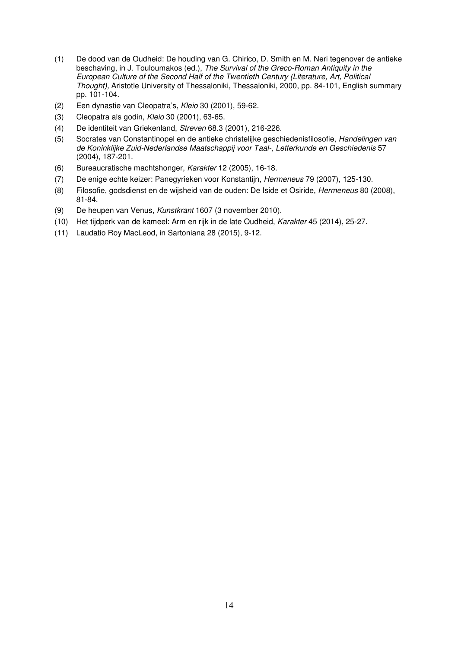- (1) De dood van de Oudheid: De houding van G. Chirico, D. Smith en M. Neri tegenover de antieke beschaving, in J. Touloumakos (ed.), The Survival of the Greco-Roman Antiquity in the European Culture of the Second Half of the Twentieth Century (Literature, Art, Political Thought), Aristotle University of Thessaloniki, Thessaloniki, 2000, pp. 84-101, English summary pp. 101-104.
- (2) Een dynastie van Cleopatra's, Kleio 30 (2001), 59-62.
- (3) Cleopatra als godin, Kleio 30 (2001), 63-65.
- (4) De identiteit van Griekenland, Streven 68.3 (2001), 216-226.
- (5) Socrates van Constantinopel en de antieke christelijke geschiedenisfilosofie, Handelingen van de Koninklijke Zuid-Nederlandse Maatschappij voor Taal-, Letterkunde en Geschiedenis 57 (2004), 187-201.
- (6) Bureaucratische machtshonger, Karakter 12 (2005), 16-18.
- (7) De enige echte keizer: Panegyrieken voor Konstantijn, Hermeneus 79 (2007), 125-130.
- (8) Filosofie, godsdienst en de wijsheid van de ouden: De Iside et Osiride, Hermeneus 80 (2008), 81-84.
- (9) De heupen van Venus, Kunstkrant 1607 (3 november 2010).
- (10) Het tijdperk van de kameel: Arm en rijk in de late Oudheid, Karakter 45 (2014), 25-27.
- (11) Laudatio Roy MacLeod, in Sartoniana 28 (2015), 9-12.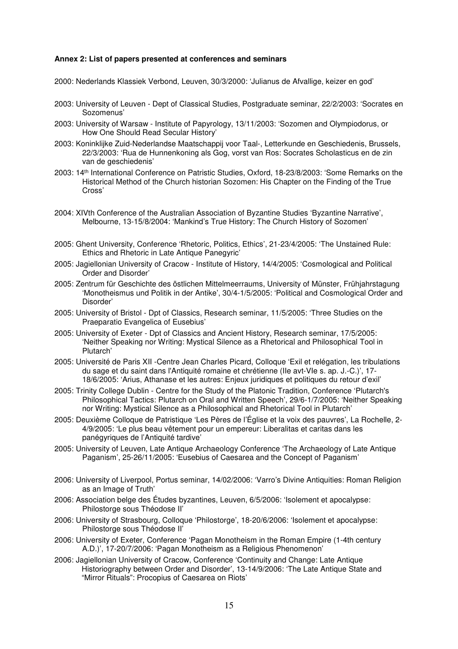#### **Annex 2: List of papers presented at conferences and seminars**

2000: Nederlands Klassiek Verbond, Leuven, 30/3/2000: 'Julianus de Afvallige, keizer en god'

- 2003: University of Leuven Dept of Classical Studies, Postgraduate seminar, 22/2/2003: 'Socrates en Sozomenus'
- 2003: University of Warsaw Institute of Papyrology, 13/11/2003: 'Sozomen and Olympiodorus, or How One Should Read Secular History'
- 2003: Koninklijke Zuid-Nederlandse Maatschappij voor Taal-, Letterkunde en Geschiedenis, Brussels, 22/3/2003: 'Rua de Hunnenkoning als Gog, vorst van Ros: Socrates Scholasticus en de zin van de geschiedenis'
- 2003: 14th International Conference on Patristic Studies, Oxford, 18-23/8/2003: 'Some Remarks on the Historical Method of the Church historian Sozomen: His Chapter on the Finding of the True Cross'
- 2004: XIVth Conference of the Australian Association of Byzantine Studies 'Byzantine Narrative', Melbourne, 13-15/8/2004: 'Mankind's True History: The Church History of Sozomen'
- 2005: Ghent University, Conference 'Rhetoric, Politics, Ethics', 21-23/4/2005: 'The Unstained Rule: Ethics and Rhetoric in Late Antique Panegyric'
- 2005: Jagiellonian University of Cracow Institute of History, 14/4/2005: 'Cosmological and Political Order and Disorder'
- 2005: Zentrum für Geschichte des östlichen Mittelmeerraums, University of Münster, Frühjahrstagung 'Monotheismus und Politik in der Antike', 30/4-1/5/2005: 'Political and Cosmological Order and Disorder'
- 2005: University of Bristol Dpt of Classics, Research seminar, 11/5/2005: 'Three Studies on the Praeparatio Evangelica of Eusebius'
- 2005: University of Exeter Dpt of Classics and Ancient History, Research seminar, 17/5/2005: 'Neither Speaking nor Writing: Mystical Silence as a Rhetorical and Philosophical Tool in Plutarch'
- 2005: Université de Paris XII -Centre Jean Charles Picard, Colloque 'Exil et relégation, les tribulations du sage et du saint dans l'Antiquité romaine et chrétienne (IIe avt-VIe s. ap. J.-C.)', 17- 18/6/2005: 'Arius, Athanase et les autres: Enjeux juridiques et politiques du retour d'exil'
- 2005: Trinity College Dublin Centre for the Study of the Platonic Tradition, Conference 'Plutarch's Philosophical Tactics: Plutarch on Oral and Written Speech', 29/6-1/7/2005: 'Neither Speaking nor Writing: Mystical Silence as a Philosophical and Rhetorical Tool in Plutarch'
- 2005: Deuxième Colloque de Patristique 'Les Pères de l'Église et la voix des pauvres', La Rochelle, 2- 4/9/2005: 'Le plus beau vêtement pour un empereur: Liberalitas et caritas dans les panégyriques de l'Antiquité tardive'
- 2005: University of Leuven, Late Antique Archaeology Conference 'The Archaeology of Late Antique Paganism', 25-26/11/2005: 'Eusebius of Caesarea and the Concept of Paganism'
- 2006: University of Liverpool, Portus seminar, 14/02/2006: 'Varro's Divine Antiquities: Roman Religion as an Image of Truth'
- 2006: Association belge des Études byzantines, Leuven, 6/5/2006: 'Isolement et apocalypse: Philostorge sous Théodose II'
- 2006: University of Strasbourg, Colloque 'Philostorge', 18-20/6/2006: 'Isolement et apocalypse: Philostorge sous Théodose II'
- 2006: University of Exeter, Conference 'Pagan Monotheism in the Roman Empire (1-4th century A.D.)', 17-20/7/2006: 'Pagan Monotheism as a Religious Phenomenon'
- 2006: Jagiellonian University of Cracow, Conference 'Continuity and Change: Late Antique Historiography between Order and Disorder', 13-14/9/2006: 'The Late Antique State and "Mirror Rituals": Procopius of Caesarea on Riots'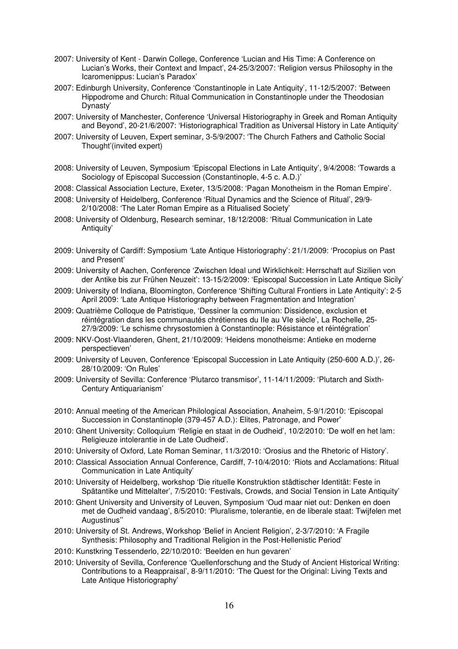- 2007: University of Kent Darwin College, Conference 'Lucian and His Time: A Conference on Lucian's Works, their Context and Impact', 24-25/3/2007: 'Religion versus Philosophy in the Icaromenippus: Lucian's Paradox'
- 2007: Edinburgh University, Conference 'Constantinople in Late Antiquity', 11-12/5/2007: 'Between Hippodrome and Church: Ritual Communication in Constantinople under the Theodosian Dynasty'
- 2007: University of Manchester, Conference 'Universal Historiography in Greek and Roman Antiquity and Beyond', 20-21/6/2007: 'Historiographical Tradition as Universal History in Late Antiquity'
- 2007: University of Leuven, Expert seminar, 3-5/9/2007: 'The Church Fathers and Catholic Social Thought'(invited expert)
- 2008: University of Leuven, Symposium 'Episcopal Elections in Late Antiquity', 9/4/2008: 'Towards a Sociology of Episcopal Succession (Constantinople, 4-5 c. A.D.)'
- 2008: Classical Association Lecture, Exeter, 13/5/2008: 'Pagan Monotheism in the Roman Empire'.
- 2008: University of Heidelberg, Conference 'Ritual Dynamics and the Science of Ritual', 29/9- 2/10/2008: 'The Later Roman Empire as a Ritualised Society'
- 2008: University of Oldenburg, Research seminar, 18/12/2008: 'Ritual Communication in Late Antiquity'
- 2009: University of Cardiff: Symposium 'Late Antique Historiography': 21/1/2009: 'Procopius on Past and Present'
- 2009: University of Aachen, Conference 'Zwischen Ideal und Wirklichkeit: Herrschaft auf Sizilien von der Antike bis zur Frühen Neuzeit': 13-15/2/2009: 'Episcopal Succession in Late Antique Sicily'
- 2009: University of Indiana, Bloomington, Conference 'Shifting Cultural Frontiers in Late Antiquity': 2-5 April 2009: 'Late Antique Historiography between Fragmentation and Integration'
- 2009: Quatrième Colloque de Patristique, 'Dessiner la communion: Dissidence, exclusion et réintégration dans les communautés chrétiennes du IIe au VIe siècle', La Rochelle, 25- 27/9/2009: 'Le schisme chrysostomien à Constantinople: Résistance et réintégration'
- 2009: NKV-Oost-Vlaanderen, Ghent, 21/10/2009: 'Heidens monotheisme: Antieke en moderne perspectieven'
- 2009: University of Leuven, Conference 'Episcopal Succession in Late Antiquity (250-600 A.D.)', 26- 28/10/2009: 'On Rules'
- 2009: University of Sevilla: Conference 'Plutarco transmisor', 11-14/11/2009: 'Plutarch and Sixth-Century Antiquarianism'
- 2010: Annual meeting of the American Philological Association, Anaheim, 5-9/1/2010: 'Episcopal Succession in Constantinople (379-457 A.D.): Elites, Patronage, and Power'
- 2010: Ghent University: Colloquium 'Religie en staat in de Oudheid', 10/2/2010: 'De wolf en het lam: Religieuze intolerantie in de Late Oudheid'.
- 2010: University of Oxford, Late Roman Seminar, 11/3/2010: 'Orosius and the Rhetoric of History'.
- 2010: Classical Association Annual Conference, Cardiff, 7-10/4/2010: 'Riots and Acclamations: Ritual Communication in Late Antiquity'
- 2010: University of Heidelberg, workshop 'Die rituelle Konstruktion städtischer Identität: Feste in Spätantike und Mittelalter', 7/5/2010: 'Festivals, Crowds, and Social Tension in Late Antiquity'
- 2010: Ghent University and University of Leuven, Symposium 'Oud maar niet out: Denken en doen met de Oudheid vandaag', 8/5/2010: 'Pluralisme, tolerantie, en de liberale staat: Twijfelen met Augustinus''
- 2010: University of St. Andrews, Workshop 'Belief in Ancient Religion', 2-3/7/2010: 'A Fragile Synthesis: Philosophy and Traditional Religion in the Post-Hellenistic Period'
- 2010: Kunstkring Tessenderlo, 22/10/2010: 'Beelden en hun gevaren'
- 2010: University of Sevilla, Conference 'Quellenforschung and the Study of Ancient Historical Writing: Contributions to a Reappraisal', 8-9/11/2010: 'The Quest for the Original: Living Texts and Late Antique Historiography'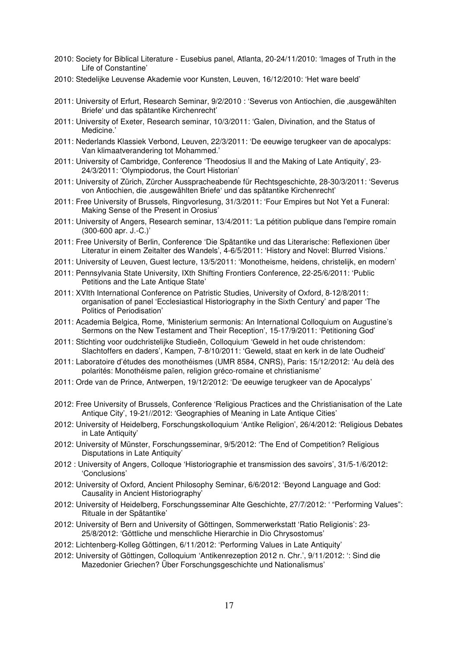- 2010: Society for Biblical Literature Eusebius panel, Atlanta, 20-24/11/2010: 'Images of Truth in the Life of Constantine'
- 2010: Stedelijke Leuvense Akademie voor Kunsten, Leuven, 16/12/2010: 'Het ware beeld'
- 2011: University of Erfurt, Research Seminar, 9/2/2010 : 'Severus von Antiochien, die 'ausgewählten Briefe' und das spätantike Kirchenrecht'
- 2011: University of Exeter, Research seminar, 10/3/2011: 'Galen, Divination, and the Status of Medicine.'
- 2011: Nederlands Klassiek Verbond, Leuven, 22/3/2011: 'De eeuwige terugkeer van de apocalyps: Van klimaatverandering tot Mohammed.'
- 2011: University of Cambridge, Conference 'Theodosius II and the Making of Late Antiquity', 23- 24/3/2011: 'Olympiodorus, the Court Historian'
- 2011: University of Zürich, Zürcher Ausspracheabende für Rechtsgeschichte, 28-30/3/2011: 'Severus von Antiochien, die 'ausgewählten Briefe' und das spätantike Kirchenrecht'
- 2011: Free University of Brussels, Ringvorlesung, 31/3/2011: 'Four Empires but Not Yet a Funeral: Making Sense of the Present in Orosius'
- 2011: University of Angers, Research seminar, 13/4/2011: 'La pétition publique dans l'empire romain (300-600 apr. J.-C.)'
- 2011: Free University of Berlin, Conference 'Die Spätantike und das Literarische: Reflexionen über Literatur in einem Zeitalter des Wandels', 4-6/5/2011: 'History and Novel: Blurred Visions.'
- 2011: University of Leuven, Guest lecture, 13/5/2011: 'Monotheisme, heidens, christelijk, en modern'
- 2011: Pennsylvania State University, IXth Shifting Frontiers Conference, 22-25/6/2011: 'Public Petitions and the Late Antique State'
- 2011: XVIth International Conference on Patristic Studies, University of Oxford, 8-12/8/2011: organisation of panel 'Ecclesiastical Historiography in the Sixth Century' and paper 'The Politics of Periodisation'
- 2011: Academia Belgica, Rome, 'Ministerium sermonis: An International Colloquium on Augustine's Sermons on the New Testament and Their Reception', 15-17/9/2011: 'Petitioning God'
- 2011: Stichting voor oudchristelijke Studieën, Colloquium 'Geweld in het oude christendom: Slachtoffers en daders', Kampen, 7-8/10/2011: 'Geweld, staat en kerk in de late Oudheid'
- 2011: Laboratoire d'études des monothéismes (UMR 8584, CNRS), Paris: 15/12/2012: 'Au delà des polarités: Monothéisme païen, religion gréco-romaine et christianisme'
- 2011: Orde van de Prince, Antwerpen, 19/12/2012: 'De eeuwige terugkeer van de Apocalyps'
- 2012: Free University of Brussels, Conference 'Religious Practices and the Christianisation of the Late Antique City', 19-21//2012: 'Geographies of Meaning in Late Antique Cities'
- 2012: University of Heidelberg, Forschungskolloquium 'Antike Religion', 26/4/2012: 'Religious Debates in Late Antiquity'
- 2012: University of Münster, Forschungsseminar, 9/5/2012: 'The End of Competition? Religious Disputations in Late Antiquity'
- 2012 : University of Angers, Colloque 'Historiographie et transmission des savoirs', 31/5-1/6/2012: 'Conclusions'
- 2012: University of Oxford, Ancient Philosophy Seminar, 6/6/2012: 'Beyond Language and God: Causality in Ancient Historiography'
- 2012: University of Heidelberg, Forschungsseminar Alte Geschichte, 27/7/2012: ' "Performing Values": Rituale in der Spätantike'
- 2012: University of Bern and University of Göttingen, Sommerwerkstatt 'Ratio Religionis': 23- 25/8/2012: 'Göttliche und menschliche Hierarchie in Dio Chrysostomus'
- 2012: Lichtenberg-Kolleg Göttingen, 6/11/2012: 'Performing Values in Late Antiquity'
- 2012: University of Göttingen, Colloquium 'Antikenrezeption 2012 n. Chr.', 9/11/2012: ': Sind die Mazedonier Griechen? Über Forschungsgeschichte und Nationalismus'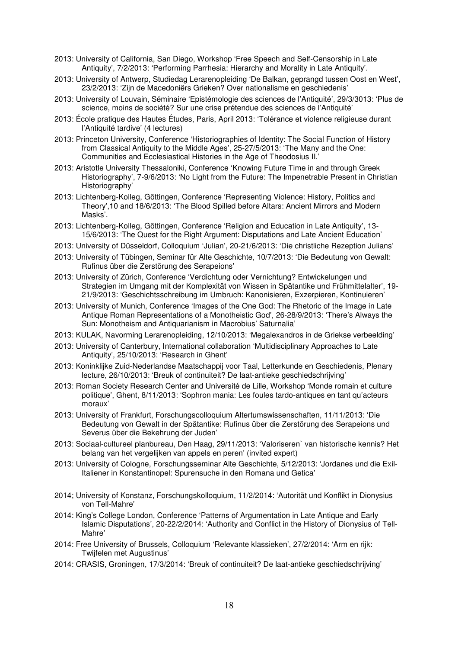- 2013: University of California, San Diego, Workshop 'Free Speech and Self-Censorship in Late Antiquity', 7/2/2013: 'Performing Parrhesia: Hierarchy and Morality in Late Antiquity'.
- 2013: University of Antwerp, Studiedag Lerarenopleiding 'De Balkan, geprangd tussen Oost en West', 23/2/2013: 'Zijn de Macedoniërs Grieken? Over nationalisme en geschiedenis'
- 2013: University of Louvain, Séminaire 'Epistémologie des sciences de l'Antiquité', 29/3/3013: 'Plus de science, moins de société? Sur une crise prétendue des sciences de l'Antiquité'
- 2013: École pratique des Hautes Études, Paris, April 2013: 'Tolérance et violence religieuse durant l'Antiquité tardive' (4 lectures)
- 2013: Princeton University, Conference 'Historiographies of Identity: The Social Function of History from Classical Antiquity to the Middle Ages', 25-27/5/2013: 'The Many and the One: Communities and Ecclesiastical Histories in the Age of Theodosius II.'
- 2013: Aristotle University Thessaloniki, Conference 'Knowing Future Time in and through Greek Historiography', 7-9/6/2013: 'No Light from the Future: The Impenetrable Present in Christian Historiography'
- 2013: Lichtenberg-Kolleg, Göttingen, Conference 'Representing Violence: History, Politics and Theory',10 and 18/6/2013: 'The Blood Spilled before Altars: Ancient Mirrors and Modern Masks'.
- 2013: Lichtenberg-Kolleg, Göttingen, Conference 'Religion and Education in Late Antiquity', 13- 15/6/2013: 'The Quest for the Right Argument: Disputations and Late Ancient Education'
- 2013: University of Düsseldorf, Colloquium 'Julian', 20-21/6/2013: 'Die christliche Rezeption Julians'
- 2013: University of Tübingen, Seminar für Alte Geschichte, 10/7/2013: 'Die Bedeutung von Gewalt: Rufinus über die Zerstörung des Serapeions'
- 2013: University of Zürich, Conference 'Verdichtung oder Vernichtung? Entwickelungen und Strategien im Umgang mit der Komplexität von Wissen in Spätantike und Frühmittelalter', 19- 21/9/2013: 'Geschichtsschreibung im Umbruch: Kanonisieren, Exzerpieren, Kontinuieren'
- 2013: University of Munich, Conference 'Images of the One God: The Rhetoric of the Image in Late Antique Roman Representations of a Monotheistic God', 26-28/9/2013: 'There's Always the Sun: Monotheism and Antiquarianism in Macrobius' Saturnalia'
- 2013: KULAK, Navorming Lerarenopleiding, 12/10/2013: 'Megalexandros in de Griekse verbeelding'
- 2013: University of Canterbury, International collaboration 'Multidisciplinary Approaches to Late Antiquity', 25/10/2013: 'Research in Ghent'
- 2013: Koninklijke Zuid-Nederlandse Maatschappij voor Taal, Letterkunde en Geschiedenis, Plenary lecture, 26/10/2013: 'Breuk of continuiteit? De laat-antieke geschiedschrijving'
- 2013: Roman Society Research Center and Université de Lille, Workshop 'Monde romain et culture politique', Ghent, 8/11/2013: 'Sophron mania: Les foules tardo-antiques en tant qu'acteurs moraux'
- 2013: University of Frankfurt, Forschungscolloquium Altertumswissenschaften, 11/11/2013: 'Die Bedeutung von Gewalt in der Spätantike: Rufinus über die Zerstörung des Serapeions und Severus über die Bekehrung der Juden'
- 2013: Sociaal-cultureel planbureau, Den Haag, 29/11/2013: 'Valoriseren` van historische kennis? Het belang van het vergelijken van appels en peren' (invited expert)
- 2013: University of Cologne, Forschungsseminar Alte Geschichte, 5/12/2013: 'Jordanes und die Exil-Italiener in Konstantinopel: Spurensuche in den Romana und Getica'
- 2014; University of Konstanz, Forschungskolloquium, 11/2/2014: 'Autorität und Konflikt in Dionysius von Tell-Mahre'
- 2014: King's College London, Conference 'Patterns of Argumentation in Late Antique and Early Islamic Disputations', 20-22/2/2014: 'Authority and Conflict in the History of Dionysius of Tell-Mahre'
- 2014: Free University of Brussels, Colloquium 'Relevante klassieken', 27/2/2014: 'Arm en rijk: Twijfelen met Augustinus'
- 2014: CRASIS, Groningen, 17/3/2014: 'Breuk of continuiteit? De laat-antieke geschiedschrijving'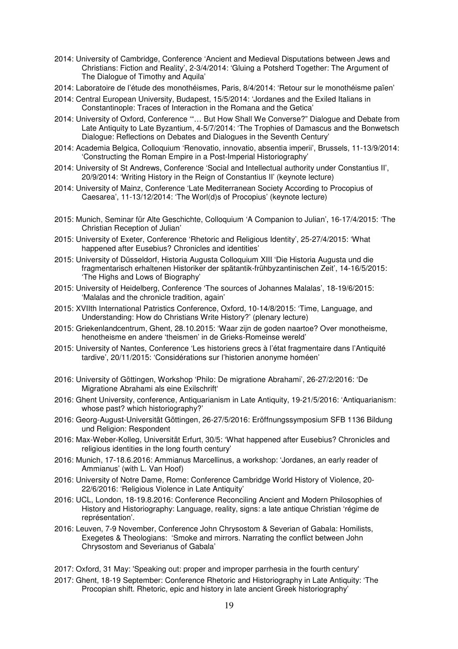- 2014: University of Cambridge, Conference 'Ancient and Medieval Disputations between Jews and Christians: Fiction and Reality', 2-3/4/2014: 'Gluing a Potsherd Together: The Argument of The Dialogue of Timothy and Aquila'
- 2014: Laboratoire de l'étude des monothéismes, Paris, 8/4/2014: 'Retour sur le monothéisme païen'
- 2014: Central European University, Budapest, 15/5/2014: 'Jordanes and the Exiled Italians in Constantinople: Traces of Interaction in the Romana and the Getica'
- 2014: University of Oxford, Conference '"… But How Shall We Converse?" Dialogue and Debate from Late Antiquity to Late Byzantium, 4-5/7/2014: 'The Trophies of Damascus and the Bonwetsch Dialogue: Reflections on Debates and Dialogues in the Seventh Century'
- 2014: Academia Belgica, Colloquium 'Renovatio, innovatio, absentia imperii', Brussels, 11-13/9/2014: 'Constructing the Roman Empire in a Post-Imperial Historiography'
- 2014: University of St Andrews, Conference 'Social and Intellectual authority under Constantius II', 20/9/2014: 'Writing History in the Reign of Constantius II' (keynote lecture)
- 2014: University of Mainz, Conference 'Late Mediterranean Society According to Procopius of Caesarea', 11-13/12/2014: 'The Worl(d)s of Procopius' (keynote lecture)
- 2015: Munich, Seminar für Alte Geschichte, Colloquium 'A Companion to Julian', 16-17/4/2015: 'The Christian Reception of Julian'
- 2015: University of Exeter, Conference 'Rhetoric and Religious Identity', 25-27/4/2015: 'What happened after Eusebius? Chronicles and identities'
- 2015: University of Düsseldorf, Historia Augusta Colloquium XIII 'Die Historia Augusta und die fragmentarisch erhaltenen Historiker der spätantik-frühbyzantinischen Zeit', 14-16/5/2015: 'The Highs and Lows of Biography'
- 2015: University of Heidelberg, Conference 'The sources of Johannes Malalas', 18-19/6/2015: 'Malalas and the chronicle tradition, again'
- 2015: XVIIth International Patristics Conference, Oxford, 10-14/8/2015: 'Time, Language, and Understanding: How do Christians Write History?' (plenary lecture)
- 2015: Griekenlandcentrum, Ghent, 28.10.2015: 'Waar zijn de goden naartoe? Over monotheisme, henotheisme en andere 'theismen' in de Grieks-Romeinse wereld'
- 2015: University of Nantes, Conference 'Les historiens grecs à l'état fragmentaire dans l'Antiquité tardive', 20/11/2015: 'Considérations sur l'historien anonyme homéen'
- 2016: University of Göttingen, Workshop 'Philo: De migratione Abrahami', 26-27/2/2016: 'De Migratione Abrahami als eine Exilschrift'
- 2016: Ghent University, conference, Antiquarianism in Late Antiquity, 19-21/5/2016: 'Antiquarianism: whose past? which historiography?'
- 2016: Georg-August-Universität Göttingen, 26-27/5/2016: Eröffnungssymposium SFB 1136 Bildung und Religion: Respondent
- 2016: Max-Weber-Kolleg, Universität Erfurt, 30/5: 'What happened after Eusebius? Chronicles and religious identities in the long fourth century'
- 2016: Munich, 17-18.6.2016: Ammianus Marcellinus, a workshop: 'Jordanes, an early reader of Ammianus' (with L. Van Hoof)
- 2016: University of Notre Dame, Rome: Conference Cambridge World History of Violence, 20- 22/6/2016: 'Religious Violence in Late Antiquity'
- 2016: UCL, London, 18-19.8.2016: Conference Reconciling Ancient and Modern Philosophies of History and Historiography: Language, reality, signs: a late antique Christian 'régime de représentation'.
- 2016: Leuven, 7-9 November, Conference John Chrysostom & Severian of Gabala: Homilists, Exegetes & Theologians: 'Smoke and mirrors. Narrating the conflict between John Chrysostom and Severianus of Gabala'
- 2017: Oxford, 31 May: 'Speaking out: proper and improper parrhesia in the fourth century'
- 2017: Ghent, 18-19 September: Conference Rhetoric and Historiography in Late Antiquity: 'The Procopian shift. Rhetoric, epic and history in late ancient Greek historiography'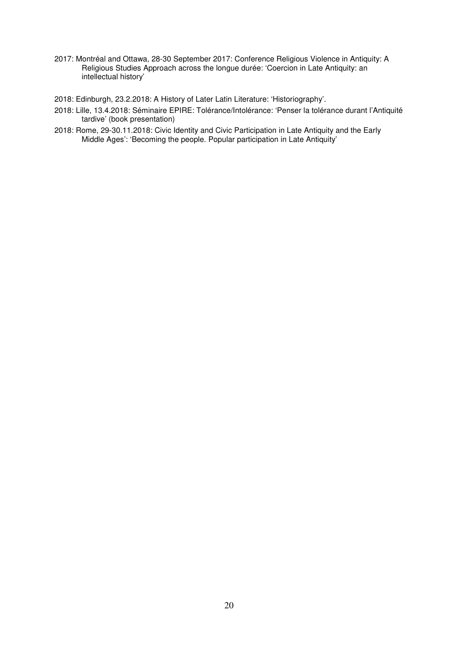- 2017: Montréal and Ottawa, 28-30 September 2017: Conference Religious Violence in Antiquity: A Religious Studies Approach across the longue durée: 'Coercion in Late Antiquity: an intellectual history'
- 2018: Edinburgh, 23.2.2018: A History of Later Latin Literature: 'Historiography'.
- 2018: Lille, 13.4.2018: Séminaire EPIRE: Tolérance/Intolérance: 'Penser la tolérance durant l'Antiquité tardive' (book presentation)
- 2018: Rome, 29-30.11.2018: Civic Identity and Civic Participation in Late Antiquity and the Early Middle Ages': 'Becoming the people. Popular participation in Late Antiquity'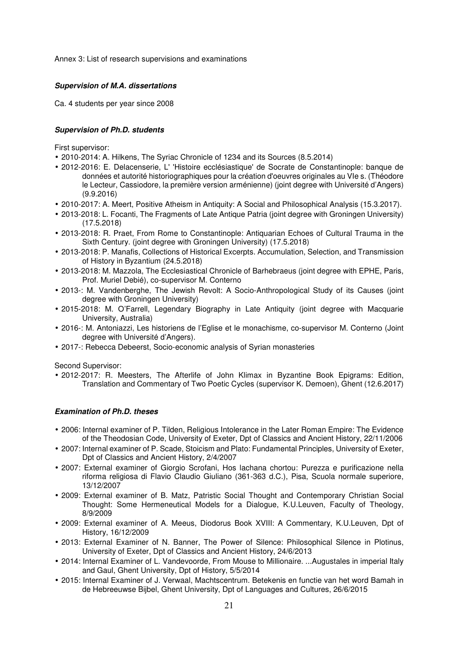Annex 3: List of research supervisions and examinations

## **Supervision of M.A. dissertations**

Ca. 4 students per year since 2008

## **Supervision of Ph.D. students**

First supervisor:

- 2010-2014: A. Hilkens, The Syriac Chronicle of 1234 and its Sources (8.5.2014)
- 2012-2016: E. Delacenserie, L' 'Histoire ecclésiastique' de Socrate de Constantinople: banque de données et autorité historiographiques pour la création d'oeuvres originales au VIe s. (Théodore le Lecteur, Cassiodore, la première version arménienne) (joint degree with Université d'Angers) (9.9.2016)
- 2010-2017: A. Meert, Positive Atheism in Antiquity: A Social and Philosophical Analysis (15.3.2017).
- 2013-2018: L. Focanti, The Fragments of Late Antique Patria (joint degree with Groningen University) (17.5.2018)
- 2013-2018: R. Praet, From Rome to Constantinople: Antiquarian Echoes of Cultural Trauma in the Sixth Century. (joint degree with Groningen University) (17.5.2018)
- 2013-2018: P. Manafis, Collections of Historical Excerpts. Accumulation, Selection, and Transmission of History in Byzantium (24.5.2018)
- 2013-2018: M. Mazzola, The Ecclesiastical Chronicle of Barhebraeus (joint degree with EPHE, Paris, Prof. Muriel Debié), co-supervisor M. Conterno
- 2013-: M. Vandenberghe, The Jewish Revolt: A Socio-Anthropological Study of its Causes (joint degree with Groningen University)
- 2015-2018: M. O'Farrell, Legendary Biography in Late Antiquity (joint degree with Macquarie University, Australia)
- 2016-: M. Antoniazzi, Les historiens de l'Eglise et le monachisme, co-supervisor M. Conterno (Joint degree with Université d'Angers).
- 2017-: Rebecca Debeerst, Socio-economic analysis of Syrian monasteries

Second Supervisor:

• 2012-2017: R. Meesters, The Afterlife of John Klimax in Byzantine Book Epigrams: Edition, Translation and Commentary of Two Poetic Cycles (supervisor K. Demoen), Ghent (12.6.2017)

## **Examination of Ph.D. theses**

- 2006: Internal examiner of P. Tilden, Religious Intolerance in the Later Roman Empire: The Evidence of the Theodosian Code, University of Exeter, Dpt of Classics and Ancient History, 22/11/2006
- 2007: Internal examiner of P. Scade, Stoicism and Plato: Fundamental Principles, University of Exeter, Dpt of Classics and Ancient History, 2/4/2007
- 2007: External examiner of Giorgio Scrofani, Hos lachana chortou: Purezza e purificazione nella riforma religiosa di Flavio Claudio Giuliano (361-363 d.C.), Pisa, Scuola normale superiore, 13/12/2007
- 2009: External examiner of B. Matz, Patristic Social Thought and Contemporary Christian Social Thought: Some Hermeneutical Models for a Dialogue, K.U.Leuven, Faculty of Theology, 8/9/2009
- 2009: External examiner of A. Meeus, Diodorus Book XVIII: A Commentary, K.U.Leuven, Dpt of History, 16/12/2009
- 2013: External Examiner of N. Banner, The Power of Silence: Philosophical Silence in Plotinus, University of Exeter, Dpt of Classics and Ancient History, 24/6/2013
- 2014: Internal Examiner of L. Vandevoorde, From Mouse to Millionaire. ...Augustales in imperial Italy and Gaul, Ghent University, Dpt of History, 5/5/2014
- 2015: Internal Examiner of J. Verwaal, Machtscentrum. Betekenis en functie van het word Bamah in de Hebreeuwse Bijbel, Ghent University, Dpt of Languages and Cultures, 26/6/2015